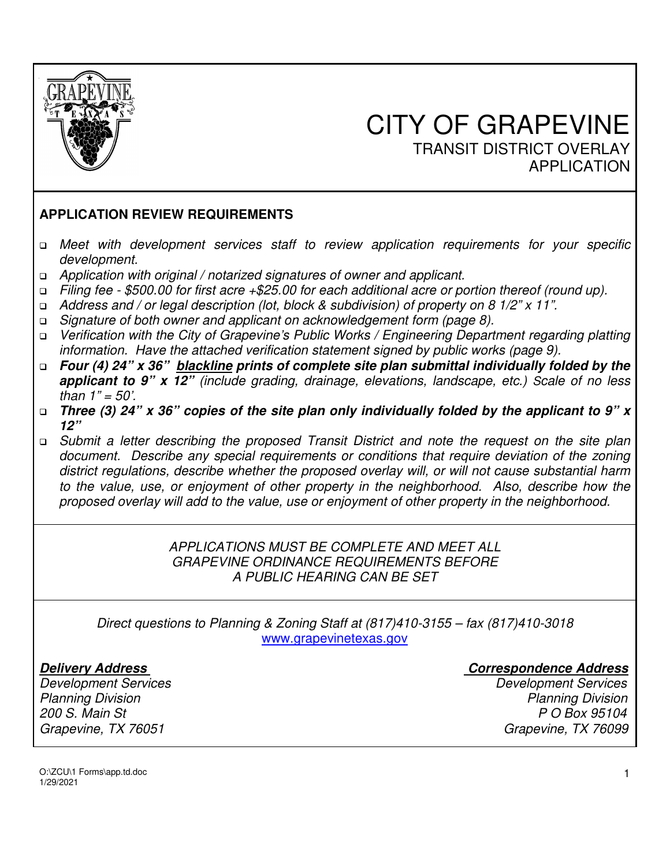

# $\overline{\phantom{a}}$  CITY OF GRAPEVINE TRANSIT DISTRICT OVERLAY APPLICATION

#### **APPLICATION REVIEW REQUIREMENTS**

- *Meet with development services staff to review application requirements for your specific development.*
- *Application with original / notarized signatures of owner and applicant.*
- *Filing fee \$500.00 for first acre +\$25.00 for each additional acre or portion thereof (round up).*
- *Address and / or legal description (lot, block & subdivision) of property on 8 1/2" x 11".*
- *Signature of both owner and applicant on acknowledgement form (page 8).*
- *Verification with the City of Grapevine's Public Works / Engineering Department regarding platting information. Have the attached verification statement signed by public works (page 9).*
- *Four (4) 24" x 36" blackline prints of complete site plan submittal individually folded by the applicant to 9" x 12" (include grading, drainage, elevations, landscape, etc.) Scale of no less than 1" = 50'.*
- *Three (3) 24" x 36" copies of the site plan only individually folded by the applicant to 9" x 12"*
- *Submit a letter describing the proposed Transit District and note the request on the site plan document. Describe any special requirements or conditions that require deviation of the zoning district regulations, describe whether the proposed overlay will, or will not cause substantial harm to the value, use, or enjoyment of other property in the neighborhood. Also, describe how the proposed overlay will add to the value, use or enjoyment of other property in the neighborhood.*

#### *APPLICATIONS MUST BE COMPLETE AND MEET ALL GRAPEVINE ORDINANCE REQUIREMENTS BEFORE A PUBLIC HEARING CAN BE SET*

*Direct questions to Planning & Zoning Staff at (817)410-3155 – fax (817)410-3018*  www.grapevinetexas.gov

*Development Services Development Services 200 S. Main St P O Box 95104 Grapevine, TX 76051 Grapevine, TX 76099* 

#### *Delivery Address Correspondence Address*

*Planning Division Planning Division* 

O:\ZCU\1 Forms\app.td.doc 1/29/2021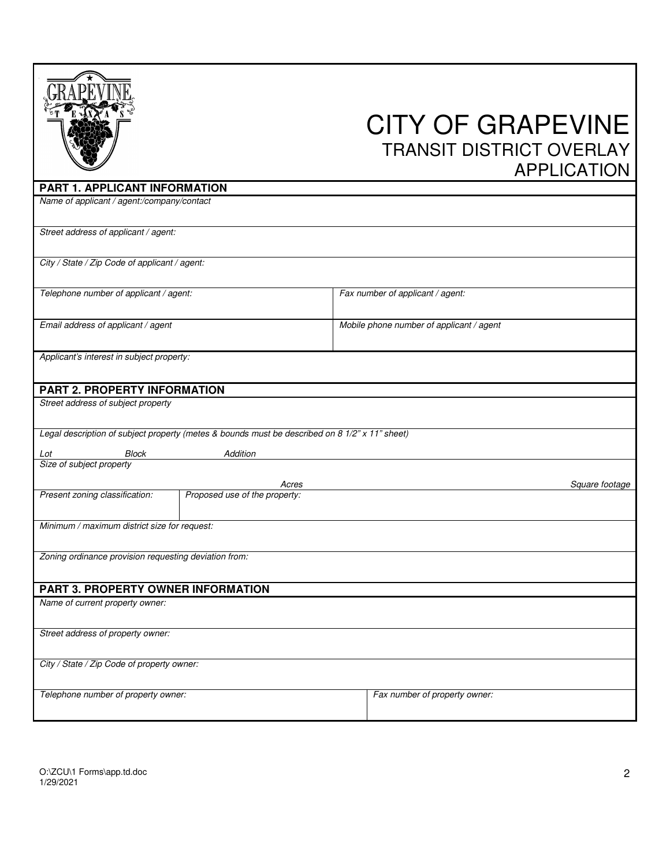|                                                                                                |                               | <b>CITY OF GRAPEVINE</b><br><b>TRANSIT DISTRICT OVERLAY</b><br><b>APPLICATION</b> |
|------------------------------------------------------------------------------------------------|-------------------------------|-----------------------------------------------------------------------------------|
| PART 1. APPLICANT INFORMATION                                                                  |                               |                                                                                   |
| Name of applicant / agent:/company/contact                                                     |                               |                                                                                   |
| Street address of applicant / agent:                                                           |                               |                                                                                   |
| City / State / Zip Code of applicant / agent:                                                  |                               |                                                                                   |
| Telephone number of applicant / agent:                                                         |                               | Fax number of applicant / agent:                                                  |
| Email address of applicant / agent                                                             |                               | Mobile phone number of applicant / agent                                          |
| Applicant's interest in subject property:                                                      |                               |                                                                                   |
| PART 2. PROPERTY INFORMATION                                                                   |                               |                                                                                   |
| Street address of subject property                                                             |                               |                                                                                   |
| Legal description of subject property (metes & bounds must be described on 8 1/2" x 11" sheet) |                               |                                                                                   |
| Block<br>Lot                                                                                   | Addition                      |                                                                                   |
| Size of subject property                                                                       |                               |                                                                                   |
|                                                                                                | Acres                         | Square footage                                                                    |
| Present zoning classification:                                                                 | Proposed use of the property: |                                                                                   |
|                                                                                                |                               |                                                                                   |
| Minimum / maximum district size for request:                                                   |                               |                                                                                   |
| Zoning ordinance provision requesting deviation from:                                          |                               |                                                                                   |
| PART 3. PROPERTY OWNER INFORMATION                                                             |                               |                                                                                   |
| Name of current property owner:                                                                |                               |                                                                                   |
| Street address of property owner:                                                              |                               |                                                                                   |
| City / State / Zip Code of property owner:                                                     |                               |                                                                                   |
| Telephone number of property owner:                                                            |                               | Fax number of property owner:                                                     |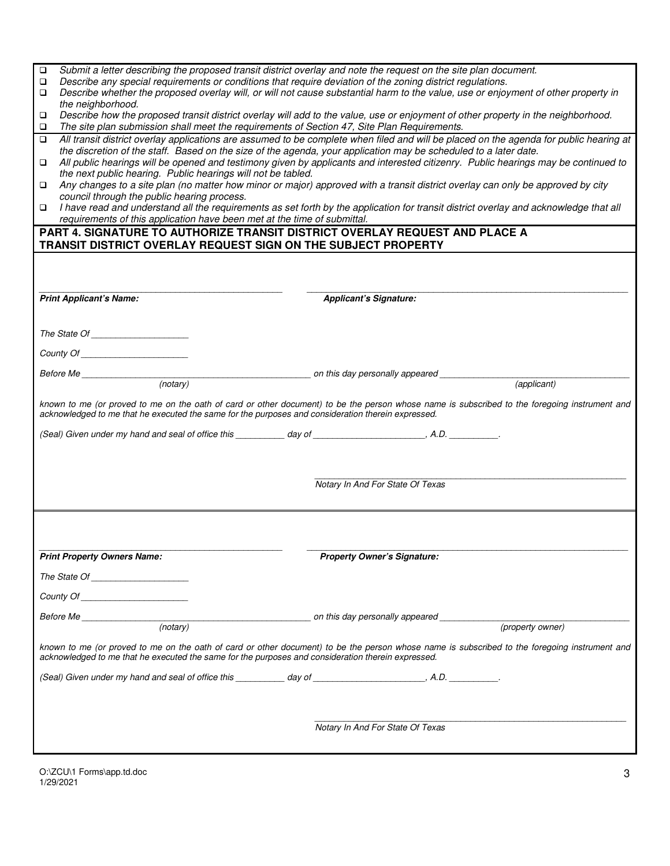| $\Box$                                                                                                                                                                                                                                                     | Submit a letter describing the proposed transit district overlay and note the request on the site plan document.                                                                                                                                           |  |  |  |  |  |
|------------------------------------------------------------------------------------------------------------------------------------------------------------------------------------------------------------------------------------------------------------|------------------------------------------------------------------------------------------------------------------------------------------------------------------------------------------------------------------------------------------------------------|--|--|--|--|--|
| Describe any special requirements or conditions that require deviation of the zoning district regulations.<br>□<br>Describe whether the proposed overlay will, or will not cause substantial harm to the value, use or enjoyment of other property in<br>□ |                                                                                                                                                                                                                                                            |  |  |  |  |  |
| the neighborhood.                                                                                                                                                                                                                                          |                                                                                                                                                                                                                                                            |  |  |  |  |  |
| □                                                                                                                                                                                                                                                          | Describe how the proposed transit district overlay will add to the value, use or enjoyment of other property in the neighborhood.                                                                                                                          |  |  |  |  |  |
| The site plan submission shall meet the requirements of Section 47, Site Plan Requirements.<br>□                                                                                                                                                           |                                                                                                                                                                                                                                                            |  |  |  |  |  |
| ▫                                                                                                                                                                                                                                                          | All transit district overlay applications are assumed to be complete when filed and will be placed on the agenda for public hearing at<br>the discretion of the staff. Based on the size of the agenda, your application may be scheduled to a later date. |  |  |  |  |  |
| ▫                                                                                                                                                                                                                                                          | All public hearings will be opened and testimony given by applicants and interested citizenry. Public hearings may be continued to                                                                                                                         |  |  |  |  |  |
| the next public hearing. Public hearings will not be tabled.                                                                                                                                                                                               |                                                                                                                                                                                                                                                            |  |  |  |  |  |
| □                                                                                                                                                                                                                                                          | Any changes to a site plan (no matter how minor or major) approved with a transit district overlay can only be approved by city                                                                                                                            |  |  |  |  |  |
| council through the public hearing process.                                                                                                                                                                                                                | I have read and understand all the requirements as set forth by the application for transit district overlay and acknowledge that all                                                                                                                      |  |  |  |  |  |
| requirements of this application have been met at the time of submittal.                                                                                                                                                                                   |                                                                                                                                                                                                                                                            |  |  |  |  |  |
| PART 4. SIGNATURE TO AUTHORIZE TRANSIT DISTRICT OVERLAY REQUEST AND PLACE A                                                                                                                                                                                |                                                                                                                                                                                                                                                            |  |  |  |  |  |
| TRANSIT DISTRICT OVERLAY REQUEST SIGN ON THE SUBJECT PROPERTY                                                                                                                                                                                              |                                                                                                                                                                                                                                                            |  |  |  |  |  |
|                                                                                                                                                                                                                                                            |                                                                                                                                                                                                                                                            |  |  |  |  |  |
|                                                                                                                                                                                                                                                            |                                                                                                                                                                                                                                                            |  |  |  |  |  |
|                                                                                                                                                                                                                                                            |                                                                                                                                                                                                                                                            |  |  |  |  |  |
| <b>Print Applicant's Name:</b>                                                                                                                                                                                                                             | <b>Applicant's Signature:</b>                                                                                                                                                                                                                              |  |  |  |  |  |
|                                                                                                                                                                                                                                                            |                                                                                                                                                                                                                                                            |  |  |  |  |  |
|                                                                                                                                                                                                                                                            |                                                                                                                                                                                                                                                            |  |  |  |  |  |
|                                                                                                                                                                                                                                                            |                                                                                                                                                                                                                                                            |  |  |  |  |  |
|                                                                                                                                                                                                                                                            |                                                                                                                                                                                                                                                            |  |  |  |  |  |
|                                                                                                                                                                                                                                                            | Before Me (notary) (notary) and this day personally appeared (applicant) (applicant)                                                                                                                                                                       |  |  |  |  |  |
|                                                                                                                                                                                                                                                            |                                                                                                                                                                                                                                                            |  |  |  |  |  |
| acknowledged to me that he executed the same for the purposes and consideration therein expressed.                                                                                                                                                         | known to me (or proved to me on the oath of card or other document) to be the person whose name is subscribed to the foregoing instrument and                                                                                                              |  |  |  |  |  |
|                                                                                                                                                                                                                                                            |                                                                                                                                                                                                                                                            |  |  |  |  |  |
|                                                                                                                                                                                                                                                            |                                                                                                                                                                                                                                                            |  |  |  |  |  |
|                                                                                                                                                                                                                                                            |                                                                                                                                                                                                                                                            |  |  |  |  |  |
|                                                                                                                                                                                                                                                            |                                                                                                                                                                                                                                                            |  |  |  |  |  |
|                                                                                                                                                                                                                                                            | Notary In And For State Of Texas                                                                                                                                                                                                                           |  |  |  |  |  |
|                                                                                                                                                                                                                                                            |                                                                                                                                                                                                                                                            |  |  |  |  |  |
|                                                                                                                                                                                                                                                            |                                                                                                                                                                                                                                                            |  |  |  |  |  |
|                                                                                                                                                                                                                                                            |                                                                                                                                                                                                                                                            |  |  |  |  |  |
|                                                                                                                                                                                                                                                            |                                                                                                                                                                                                                                                            |  |  |  |  |  |
| <b>Print Property Owners Name:</b>                                                                                                                                                                                                                         | <b>Property Owner's Signature:</b>                                                                                                                                                                                                                         |  |  |  |  |  |
| The State Of Charles Container and Charles Container and Charles Container and Charles Container and Charles Container and Charles Container and Charles Container and Charles Container and Charles Container and Charles Con                             |                                                                                                                                                                                                                                                            |  |  |  |  |  |
|                                                                                                                                                                                                                                                            |                                                                                                                                                                                                                                                            |  |  |  |  |  |
|                                                                                                                                                                                                                                                            |                                                                                                                                                                                                                                                            |  |  |  |  |  |
|                                                                                                                                                                                                                                                            | Before Me (notary) anthis day personally appeared (property owner)                                                                                                                                                                                         |  |  |  |  |  |
|                                                                                                                                                                                                                                                            |                                                                                                                                                                                                                                                            |  |  |  |  |  |
| acknowledged to me that he executed the same for the purposes and consideration therein expressed.                                                                                                                                                         | known to me (or proved to me on the oath of card or other document) to be the person whose name is subscribed to the foregoing instrument and                                                                                                              |  |  |  |  |  |
| (Seal) Given under my hand and seal of office this day of entity and seal of the seal of the seal of the seal of office this day of the seal of the seal of the seal of the seal of the seal of discussion of the seal of the                              |                                                                                                                                                                                                                                                            |  |  |  |  |  |
|                                                                                                                                                                                                                                                            |                                                                                                                                                                                                                                                            |  |  |  |  |  |
|                                                                                                                                                                                                                                                            |                                                                                                                                                                                                                                                            |  |  |  |  |  |
|                                                                                                                                                                                                                                                            |                                                                                                                                                                                                                                                            |  |  |  |  |  |
|                                                                                                                                                                                                                                                            | Notary In And For State Of Texas                                                                                                                                                                                                                           |  |  |  |  |  |
|                                                                                                                                                                                                                                                            |                                                                                                                                                                                                                                                            |  |  |  |  |  |
|                                                                                                                                                                                                                                                            |                                                                                                                                                                                                                                                            |  |  |  |  |  |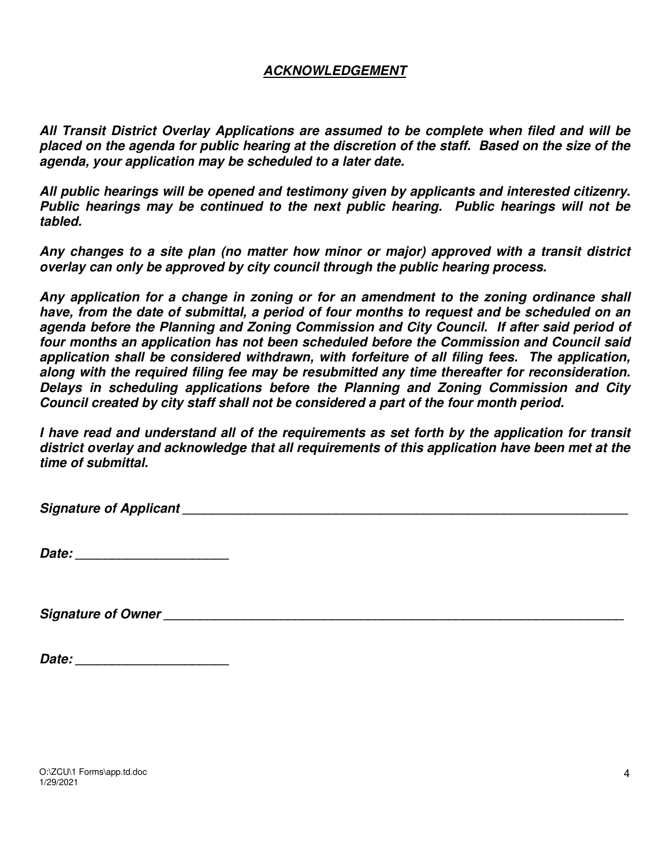#### *ACKNOWLEDGEMENT*

*All Transit District Overlay Applications are assumed to be complete when filed and will be placed on the agenda for public hearing at the discretion of the staff. Based on the size of the agenda, your application may be scheduled to a later date.* 

*All public hearings will be opened and testimony given by applicants and interested citizenry. Public hearings may be continued to the next public hearing. Public hearings will not be tabled.* 

*Any changes to a site plan (no matter how minor or major) approved with a transit district overlay can only be approved by city council through the public hearing process.* 

*Any application for a change in zoning or for an amendment to the zoning ordinance shall have, from the date of submittal, a period of four months to request and be scheduled on an agenda before the Planning and Zoning Commission and City Council. If after said period of four months an application has not been scheduled before the Commission and Council said application shall be considered withdrawn, with forfeiture of all filing fees. The application, along with the required filing fee may be resubmitted any time thereafter for reconsideration. Delays in scheduling applications before the Planning and Zoning Commission and City Council created by city staff shall not be considered a part of the four month period.* 

*I have read and understand all of the requirements as set forth by the application for transit district overlay and acknowledge that all requirements of this application have been met at the time of submittal.* 

Signature of Applicant **Letter According to the Signature of Applicant** 

| Date: |  |
|-------|--|
|       |  |

*Signature of Owner \_\_\_\_\_\_\_\_\_\_\_\_\_\_\_\_\_\_\_\_\_\_\_\_\_\_\_\_\_\_\_\_\_\_\_\_\_\_\_\_\_\_\_\_\_\_\_\_\_\_\_\_\_\_\_\_\_\_\_\_\_\_\_* 

| Date: |
|-------|
|-------|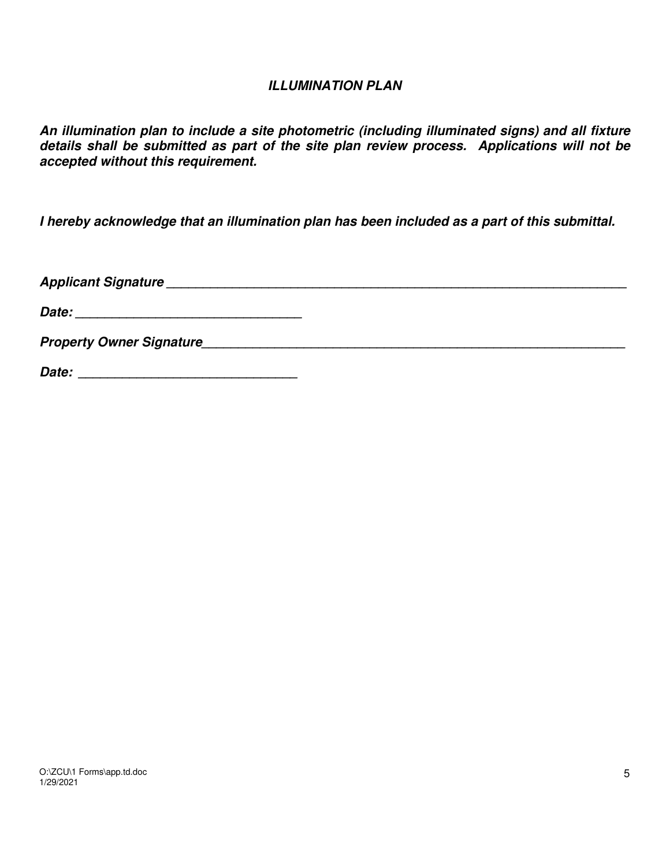#### *ILLUMINATION PLAN*

*An illumination plan to include a site photometric (including illuminated signs) and all fixture details shall be submitted as part of the site plan review process. Applications will not be accepted without this requirement.* 

*I hereby acknowledge that an illumination plan has been included as a part of this submittal.* 

*Applicant Signature \_\_\_\_\_\_\_\_\_\_\_\_\_\_\_\_\_\_\_\_\_\_\_\_\_\_\_\_\_\_\_\_\_\_\_\_\_\_\_\_\_\_\_\_\_\_\_\_\_\_\_\_\_\_\_\_\_\_\_\_\_\_\_ Date: \_\_\_\_\_\_\_\_\_\_\_\_\_\_\_\_\_\_\_\_\_\_\_\_\_\_\_\_\_\_\_ Property Owner Signature\_\_\_\_\_\_\_\_\_\_\_\_\_\_\_\_\_\_\_\_\_\_\_\_\_\_\_\_\_\_\_\_\_\_\_\_\_\_\_\_\_\_\_\_\_\_\_\_\_\_\_\_\_\_\_\_\_\_ Date: \_\_\_\_\_\_\_\_\_\_\_\_\_\_\_\_\_\_\_\_\_\_\_\_\_\_\_\_\_\_*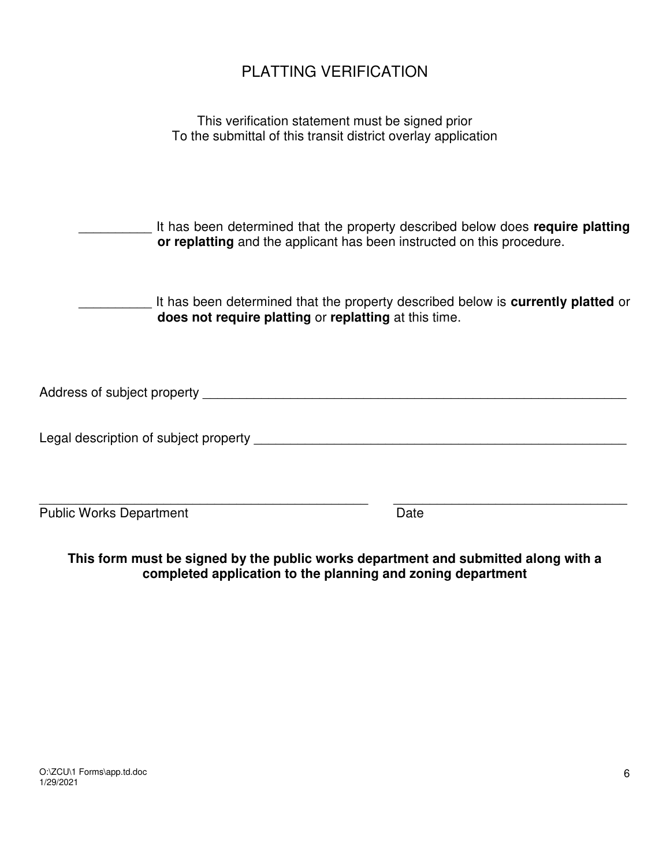# PLATTING VERIFICATION

| This verification statement must be signed prior              |  |
|---------------------------------------------------------------|--|
| To the submittal of this transit district overlay application |  |

| It has been determined that the property described below does require platting |
|--------------------------------------------------------------------------------|
| or replatting and the applicant has been instructed on this procedure.         |

| It has been determined that the property described below is <b>currently platted</b> or |
|-----------------------------------------------------------------------------------------|
| does not require platting or replatting at this time.                                   |

| Address of subject property |
|-----------------------------|
|-----------------------------|

Legal description of subject property \_\_\_\_\_\_\_\_\_\_\_\_\_\_\_\_\_\_\_\_\_\_\_\_\_\_\_\_\_\_\_\_\_\_\_\_\_\_\_\_\_\_\_\_\_\_\_\_\_\_\_

Public Works Department Date

**This form must be signed by the public works department and submitted along with a completed application to the planning and zoning department** 

\_\_\_\_\_\_\_\_\_\_\_\_\_\_\_\_\_\_\_\_\_\_\_\_\_\_\_\_\_\_\_\_\_\_\_\_\_\_\_\_\_\_\_\_\_ \_\_\_\_\_\_\_\_\_\_\_\_\_\_\_\_\_\_\_\_\_\_\_\_\_\_\_\_\_\_\_\_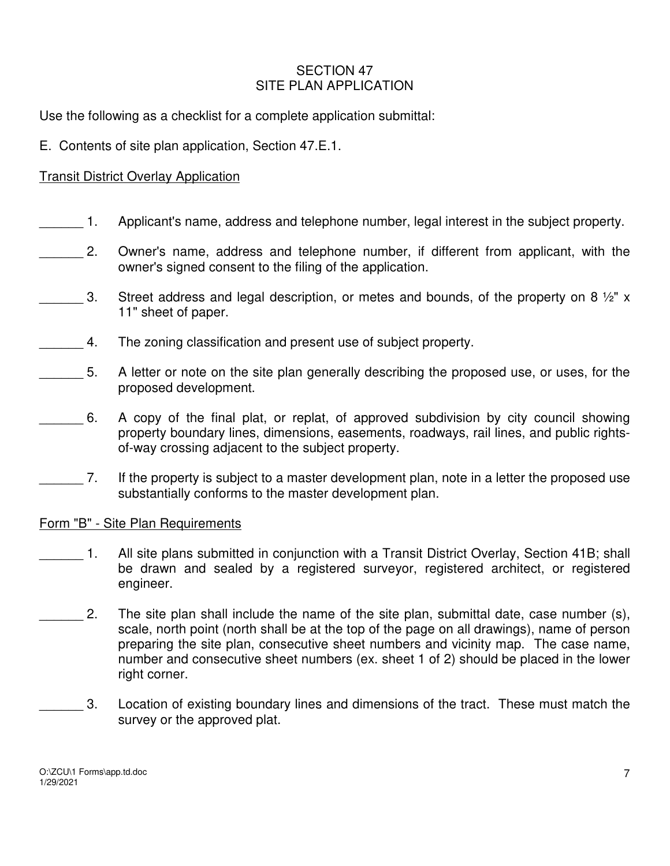#### SECTION 47 SITE PLAN APPLICATION

Use the following as a checklist for a complete application submittal:

E. Contents of site plan application, Section 47.E.1.

#### Transit District Overlay Application

- \_\_\_\_\_\_ 1. Applicant's name, address and telephone number, legal interest in the subject property.
- 2. Owner's name, address and telephone number, if different from applicant, with the owner's signed consent to the filing of the application.
- $\mu$  3. Street address and legal description, or metes and bounds, of the property on 8  $\frac{1}{2}$ " x 11" sheet of paper.
- 4. The zoning classification and present use of subject property.
- 5. A letter or note on the site plan generally describing the proposed use, or uses, for the proposed development.
- \_\_\_\_\_\_ 6. A copy of the final plat, or replat, of approved subdivision by city council showing property boundary lines, dimensions, easements, roadways, rail lines, and public rightsof-way crossing adjacent to the subject property.
	- \_\_\_\_\_\_ 7. If the property is subject to a master development plan, note in a letter the proposed use substantially conforms to the master development plan.

#### Form "B" - Site Plan Requirements

- 1. All site plans submitted in conjunction with a Transit District Overlay, Section 41B; shall be drawn and sealed by a registered surveyor, registered architect, or registered engineer.
- 2. The site plan shall include the name of the site plan, submittal date, case number (s), scale, north point (north shall be at the top of the page on all drawings), name of person preparing the site plan, consecutive sheet numbers and vicinity map. The case name, number and consecutive sheet numbers (ex. sheet 1 of 2) should be placed in the lower right corner.
- 3. Location of existing boundary lines and dimensions of the tract. These must match the survey or the approved plat.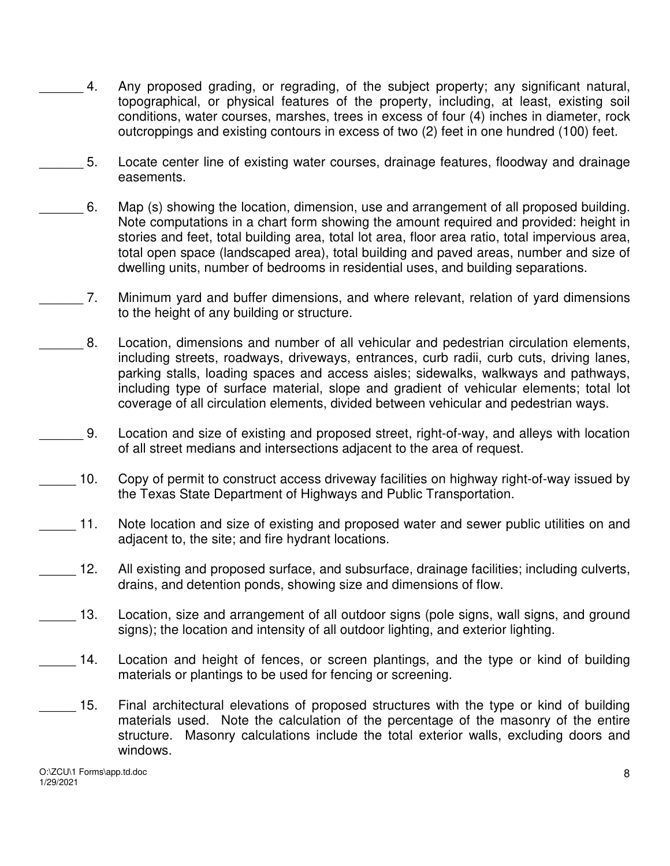- 4. Any proposed grading, or regrading, of the subject property; any significant natural, topographical, or physical features of the property, including, at least, existing soil conditions, water courses, marshes, trees in excess of four (4) inches in diameter, rock outcroppings and existing contours in excess of two (2) feet in one hundred (100) feet.
- 5. Locate center line of existing water courses, drainage features, floodway and drainage easements.
- \_\_\_\_\_\_ 6. Map (s) showing the location, dimension, use and arrangement of all proposed building. Note computations in a chart form showing the amount required and provided: height in stories and feet, total building area, total lot area, floor area ratio, total impervious area, total open space (landscaped area), total building and paved areas, number and size of dwelling units, number of bedrooms in residential uses, and building separations.
- 7. Minimum yard and buffer dimensions, and where relevant, relation of yard dimensions to the height of any building or structure.
- 8. Location, dimensions and number of all vehicular and pedestrian circulation elements, including streets, roadways, driveways, entrances, curb radii, curb cuts, driving lanes, parking stalls, loading spaces and access aisles; sidewalks, walkways and pathways, including type of surface material, slope and gradient of vehicular elements; total lot coverage of all circulation elements, divided between vehicular and pedestrian ways.
- \_\_\_\_\_\_ 9. Location and size of existing and proposed street, right-of-way, and alleys with location of all street medians and intersections adjacent to the area of request.
- 10. Copy of permit to construct access driveway facilities on highway right-of-way issued by the Texas State Department of Highways and Public Transportation.
- 11. Note location and size of existing and proposed water and sewer public utilities on and adjacent to, the site; and fire hydrant locations.
- \_\_\_\_\_ 12. All existing and proposed surface, and subsurface, drainage facilities; including culverts, drains, and detention ponds, showing size and dimensions of flow.
- 13. Location, size and arrangement of all outdoor signs (pole signs, wall signs, and ground signs); the location and intensity of all outdoor lighting, and exterior lighting.
- 14. Location and height of fences, or screen plantings, and the type or kind of building materials or plantings to be used for fencing or screening.
- 15. Final architectural elevations of proposed structures with the type or kind of building materials used. Note the calculation of the percentage of the masonry of the entire structure. Masonry calculations include the total exterior walls, excluding doors and windows.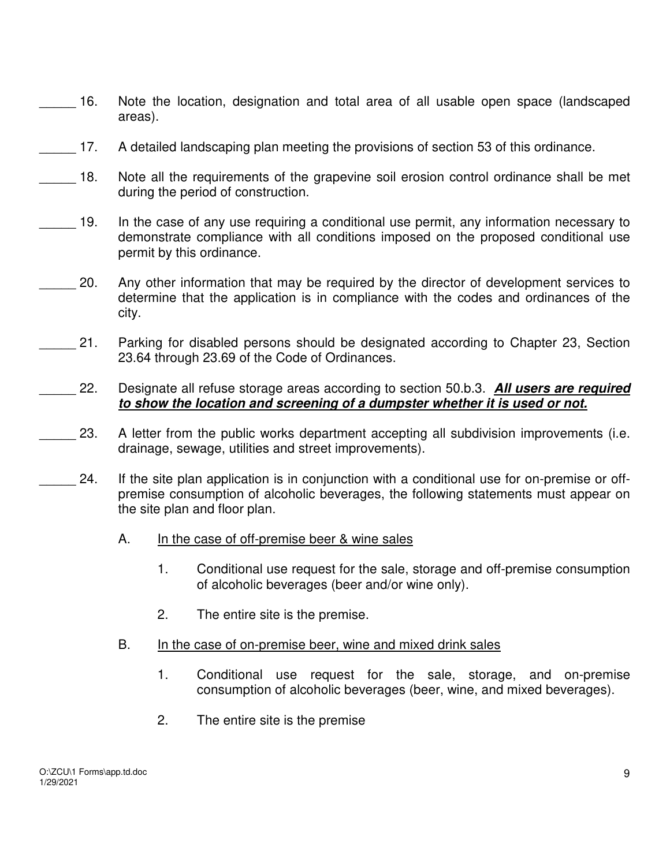- 16. Note the location, designation and total area of all usable open space (landscaped areas).
- 17. A detailed landscaping plan meeting the provisions of section 53 of this ordinance.
- 18. Note all the requirements of the grapevine soil erosion control ordinance shall be met during the period of construction.
- 19. In the case of any use requiring a conditional use permit, any information necessary to demonstrate compliance with all conditions imposed on the proposed conditional use permit by this ordinance.
	- 20. Any other information that may be required by the director of development services to determine that the application is in compliance with the codes and ordinances of the city.
- 21. Parking for disabled persons should be designated according to Chapter 23, Section 23.64 through 23.69 of the Code of Ordinances.
- \_\_\_\_\_ 22. Designate all refuse storage areas according to section 50.b.3. *All users are required to show the location and screening of a dumpster whether it is used or not.*
- 23. A letter from the public works department accepting all subdivision improvements (i.e. drainage, sewage, utilities and street improvements).
- 24. If the site plan application is in conjunction with a conditional use for on-premise or offpremise consumption of alcoholic beverages, the following statements must appear on the site plan and floor plan.
	- A. In the case of off-premise beer & wine sales
		- 1. Conditional use request for the sale, storage and off-premise consumption of alcoholic beverages (beer and/or wine only).
		- 2. The entire site is the premise.
	- B. In the case of on-premise beer, wine and mixed drink sales
		- 1. Conditional use request for the sale, storage, and on-premise consumption of alcoholic beverages (beer, wine, and mixed beverages).
		- 2. The entire site is the premise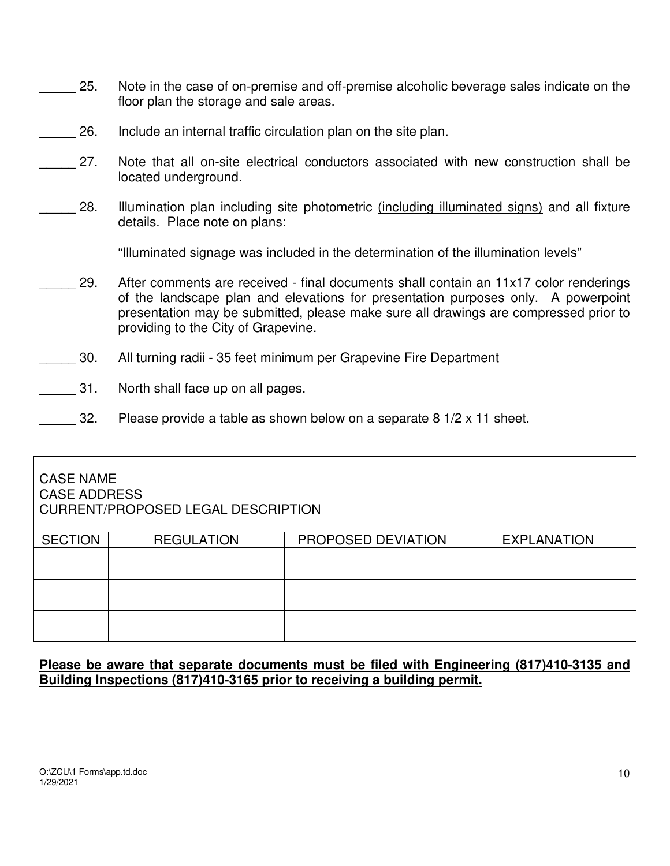- 25. Note in the case of on-premise and off-premise alcoholic beverage sales indicate on the floor plan the storage and sale areas.
- 26. Include an internal traffic circulation plan on the site plan.
- 27. Note that all on-site electrical conductors associated with new construction shall be located underground.
- 28. Illumination plan including site photometric (including illuminated signs) and all fixture details. Place note on plans:

"Illuminated signage was included in the determination of the illumination levels"

- 29. After comments are received final documents shall contain an 11x17 color renderings of the landscape plan and elevations for presentation purposes only. A powerpoint presentation may be submitted, please make sure all drawings are compressed prior to providing to the City of Grapevine.
- \_\_\_\_\_ 30. All turning radii 35 feet minimum per Grapevine Fire Department
- 31. North shall face up on all pages.
- 32. Please provide a table as shown below on a separate 8  $1/2 \times 11$  sheet.

#### CASE NAME CASE ADDRESS CURRENT/PROPOSED LEGAL DESCRIPTION

| SECTION | <b>REGULATION</b> | PROPOSED DEVIATION | <b>EXPLANATION</b> |
|---------|-------------------|--------------------|--------------------|
|         |                   |                    |                    |
|         |                   |                    |                    |
|         |                   |                    |                    |
|         |                   |                    |                    |
|         |                   |                    |                    |
|         |                   |                    |                    |

#### **Please be aware that separate documents must be filed with Engineering (817)410-3135 and Building Inspections (817)410-3165 prior to receiving a building permit.**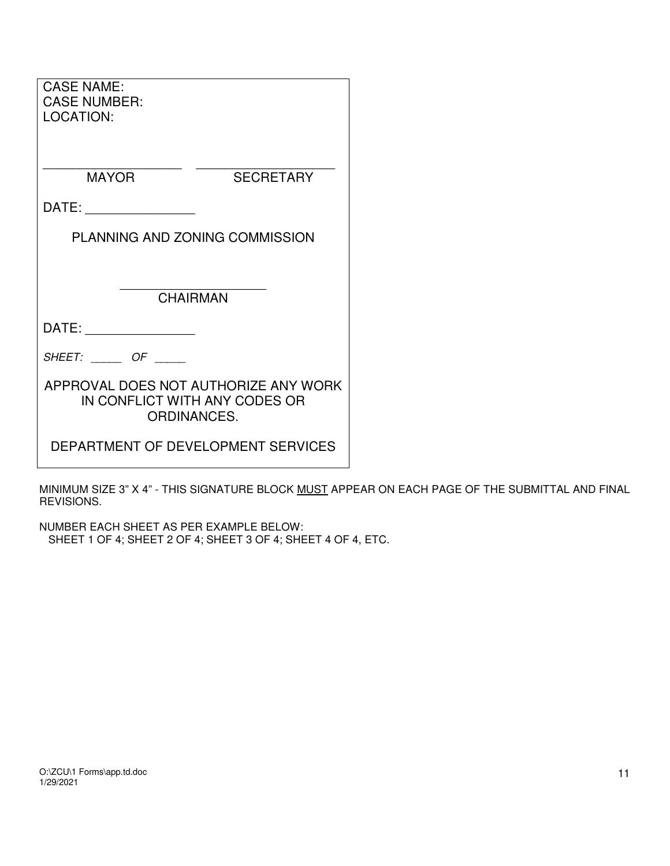| <b>CASE NAME:</b><br><b>CASE NUMBER:</b><br><b>LOCATION:</b>                         |                                    |  |
|--------------------------------------------------------------------------------------|------------------------------------|--|
| <b>MAYOR</b>                                                                         | <b>SECRETARY</b>                   |  |
| DATE:                                                                                |                                    |  |
|                                                                                      | PLANNING AND ZONING COMMISSION     |  |
|                                                                                      |                                    |  |
| <b>CHAIRMAN</b>                                                                      |                                    |  |
| DATE:                                                                                |                                    |  |
| $SHEET:$ OF _____                                                                    |                                    |  |
| APPROVAL DOES NOT AUTHORIZE ANY WORK<br>IN CONFLICT WITH ANY CODES OR<br>ORDINANCES. |                                    |  |
|                                                                                      | DEPARTMENT OF DEVELOPMENT SERVICES |  |

MINIMUM SIZE 3" X 4" - THIS SIGNATURE BLOCK MUST APPEAR ON EACH PAGE OF THE SUBMITTAL AND FINAL REVISIONS.

NUMBER EACH SHEET AS PER EXAMPLE BELOW: SHEET 1 OF 4; SHEET 2 OF 4; SHEET 3 OF 4; SHEET 4 OF 4, ETC.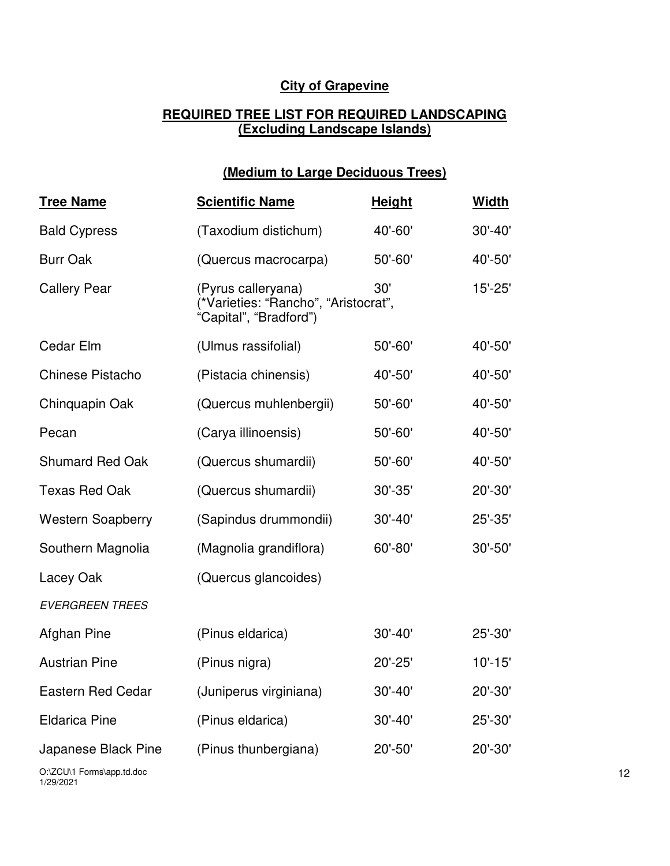### **City of Grapevine**

#### **REQUIRED TREE LIST FOR REQUIRED LANDSCAPING (Excluding Landscape Islands)**

## **(Medium to Large Deciduous Trees)**

| <b>Tree Name</b>         | <b>Scientific Name</b>                                                               | <b>Height</b> | <b>Width</b> |
|--------------------------|--------------------------------------------------------------------------------------|---------------|--------------|
| <b>Bald Cypress</b>      | (Taxodium distichum)                                                                 | 40'-60'       | $30' - 40'$  |
| <b>Burr Oak</b>          | (Quercus macrocarpa)                                                                 | 50'-60'       | 40'-50'      |
| <b>Callery Pear</b>      | (Pyrus calleryana)<br>(*Varieties: "Rancho", "Aristocrat",<br>"Capital", "Bradford") | 30'           | $15' - 25'$  |
| Cedar Elm                | (Ulmus rassifolial)                                                                  | $50' - 60'$   | 40'-50'      |
| Chinese Pistacho         | (Pistacia chinensis)                                                                 | 40'-50'       | 40'-50'      |
| Chinquapin Oak           | (Quercus muhlenbergii)                                                               | $50' - 60'$   | 40'-50'      |
| Pecan                    | (Carya illinoensis)                                                                  | $50' - 60'$   | 40'-50'      |
| <b>Shumard Red Oak</b>   | (Quercus shumardii)                                                                  | 50'-60'       | 40'-50'      |
| <b>Texas Red Oak</b>     | (Quercus shumardii)                                                                  | $30' - 35'$   | 20'-30'      |
| <b>Western Soapberry</b> | (Sapindus drummondii)                                                                | $30' - 40'$   | 25'-35'      |
| Southern Magnolia        | (Magnolia grandiflora)                                                               | 60'-80'       | 30'-50'      |
| Lacey Oak                | (Quercus glancoides)                                                                 |               |              |
| <b>EVERGREEN TREES</b>   |                                                                                      |               |              |
| Afghan Pine              | (Pinus eldarica)                                                                     | $30' - 40'$   | 25'-30'      |
| <b>Austrian Pine</b>     | (Pinus nigra)                                                                        | $20' - 25'$   | $10' - 15'$  |
| <b>Eastern Red Cedar</b> | (Juniperus virginiana)                                                               | $30' - 40'$   | 20'-30'      |
| <b>Eldarica Pine</b>     | (Pinus eldarica)                                                                     | $30' - 40'$   | 25'-30'      |
| Japanese Black Pine      | (Pinus thunbergiana)                                                                 | 20'-50'       | 20'-30'      |

O:\ZCU\1 Forms\app.td.doc 1/29/2021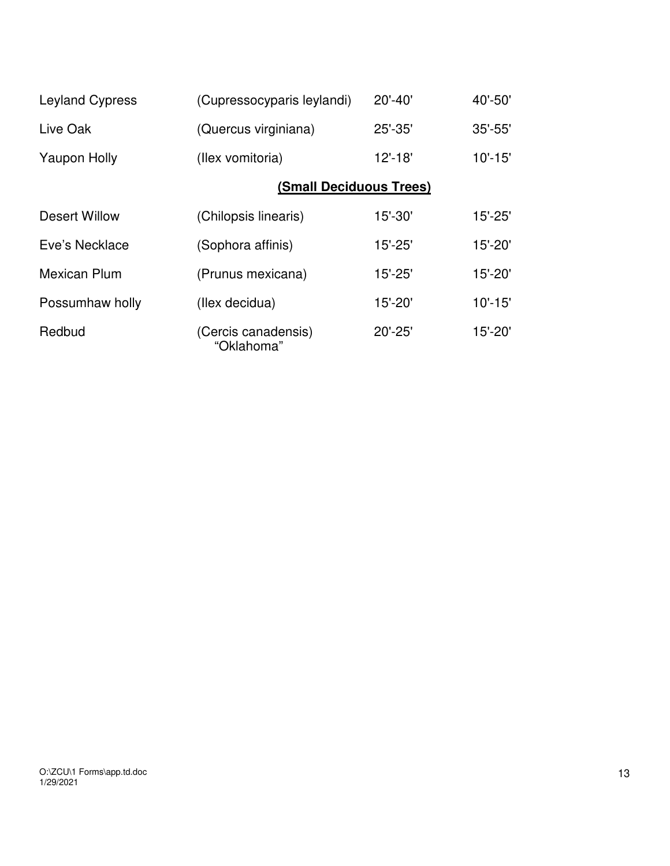| <b>Leyland Cypress</b> | (Cupressocyparis leylandi)        | $20' - 40'$ | $40' - 50'$ |
|------------------------|-----------------------------------|-------------|-------------|
| Live Oak               | (Quercus virginiana)              | 25'-35'     | $35' - 55'$ |
| <b>Yaupon Holly</b>    | (Ilex vomitoria)                  |             | $10' - 15'$ |
|                        | (Small Deciduous Trees)           |             |             |
| Desert Willow          | (Chilopsis linearis)              | $15' - 30'$ | $15' - 25'$ |
| Eve's Necklace         | (Sophora affinis)                 | $15' - 25'$ | $15' - 20'$ |
| <b>Mexican Plum</b>    | (Prunus mexicana)                 | $15' - 25'$ | $15' - 20'$ |
| Possumhaw holly        | (Ilex decidua)                    | 15'-20'     | $10' - 15'$ |
| Redbud                 | (Cercis canadensis)<br>"Oklahoma" | $20' - 25'$ | 15'-20'     |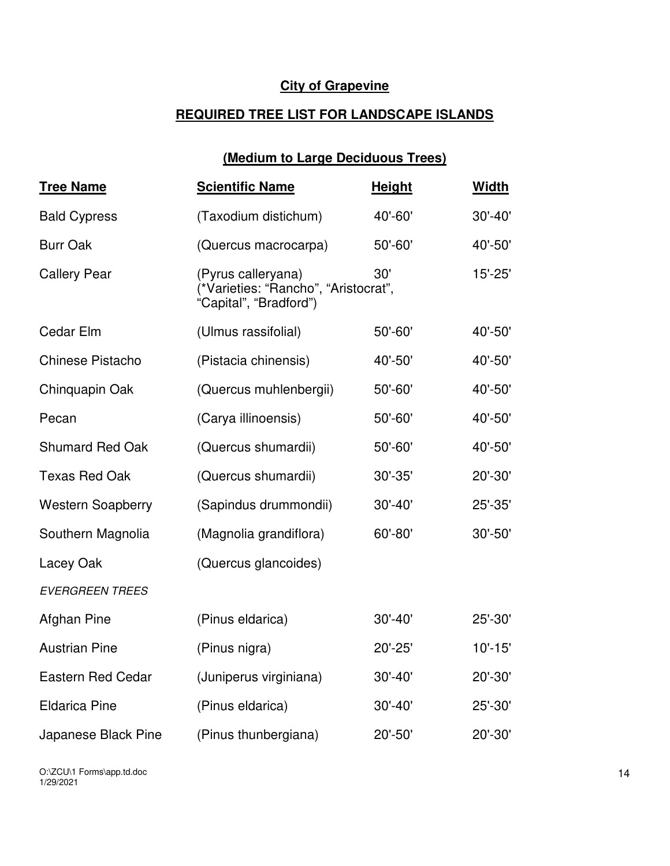### **City of Grapevine**

### **REQUIRED TREE LIST FOR LANDSCAPE ISLANDS**

# **(Medium to Large Deciduous Trees)**

| <b>Tree Name</b>         | <b>Scientific Name</b>                                                               | <b>Height</b> | <b>Width</b> |
|--------------------------|--------------------------------------------------------------------------------------|---------------|--------------|
| <b>Bald Cypress</b>      | (Taxodium distichum)                                                                 | 40'-60'       | $30' - 40'$  |
| <b>Burr Oak</b>          | (Quercus macrocarpa)                                                                 | $50' - 60'$   | 40'-50'      |
| <b>Callery Pear</b>      | (Pyrus calleryana)<br>(*Varieties: "Rancho", "Aristocrat",<br>"Capital", "Bradford") | 30'           | $15' - 25'$  |
| Cedar Elm                | (Ulmus rassifolial)                                                                  | $50' - 60'$   | 40'-50'      |
| <b>Chinese Pistacho</b>  | (Pistacia chinensis)                                                                 | 40'-50'       | 40'-50'      |
| Chinquapin Oak           | (Quercus muhlenbergii)                                                               | $50' - 60'$   | 40'-50'      |
| Pecan                    | (Carya illinoensis)                                                                  | 50'-60'       | 40'-50'      |
| <b>Shumard Red Oak</b>   | (Quercus shumardii)                                                                  | $50' - 60'$   | 40'-50'      |
| <b>Texas Red Oak</b>     | (Quercus shumardii)                                                                  | $30' - 35'$   | 20'-30'      |
| <b>Western Soapberry</b> | (Sapindus drummondii)                                                                | $30' - 40'$   | 25'-35'      |
| Southern Magnolia        | (Magnolia grandiflora)                                                               | 60'-80'       | 30'-50'      |
| Lacey Oak                | (Quercus glancoides)                                                                 |               |              |
| <b>EVERGREEN TREES</b>   |                                                                                      |               |              |
| Afghan Pine              | (Pinus eldarica)                                                                     | $30' - 40'$   | 25'-30'      |
| <b>Austrian Pine</b>     | (Pinus nigra)                                                                        | $20' - 25'$   | $10' - 15'$  |
| <b>Eastern Red Cedar</b> | (Juniperus virginiana)                                                               | $30' - 40'$   | 20'-30'      |
| <b>Eldarica Pine</b>     | (Pinus eldarica)                                                                     | $30' - 40'$   | 25'-30'      |
| Japanese Black Pine      | (Pinus thunbergiana)                                                                 | 20'-50'       | 20'-30'      |

O:\ZCU\1 Forms\app.td.doc 1/29/2021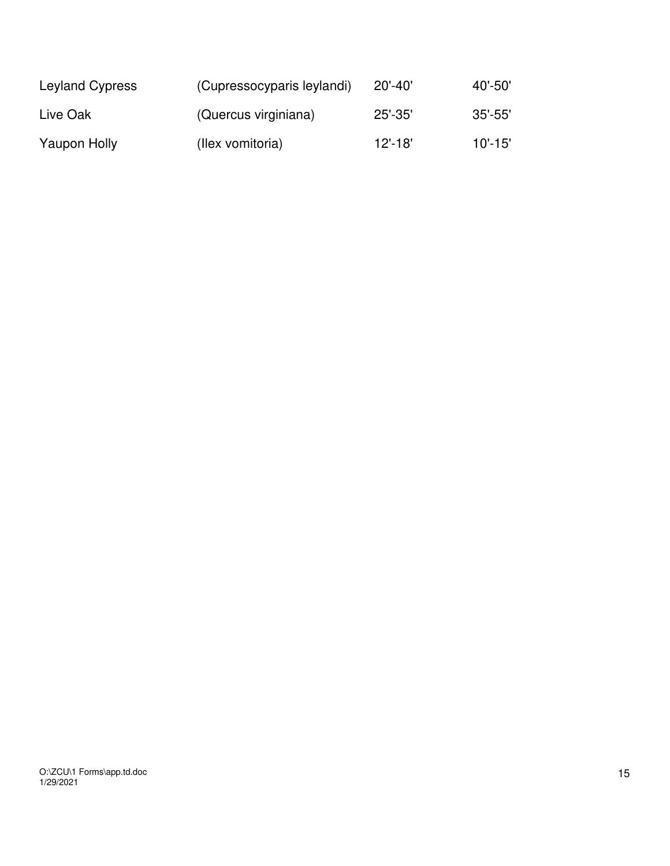| Leyland Cypress | (Cupressocyparis leylandi) | $20' - 40'$ | 40'-50'     |
|-----------------|----------------------------|-------------|-------------|
| Live Oak        | (Quercus virginiana)       | $25' - 35'$ | $35'$ -55'  |
| Yaupon Holly    | (Ilex vomitoria)           | $12' - 18'$ | $10' - 15'$ |